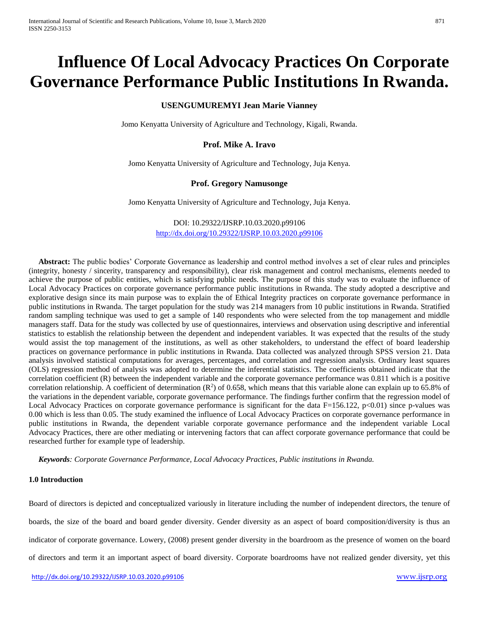# **Influence Of Local Advocacy Practices On Corporate Governance Performance Public Institutions In Rwanda.**

# **USENGUMUREMYI Jean Marie Vianney**

Jomo Kenyatta University of Agriculture and Technology, Kigali, Rwanda.

# **Prof. Mike A. Iravo**

Jomo Kenyatta University of Agriculture and Technology, Juja Kenya.

# **Prof. Gregory Namusonge**

Jomo Kenyatta University of Agriculture and Technology, Juja Kenya.

DOI: 10.29322/IJSRP.10.03.2020.p99106 <http://dx.doi.org/10.29322/IJSRP.10.03.2020.p99106>

 **Abstract:** The public bodies' Corporate Governance as leadership and control method involves a set of clear rules and principles (integrity, honesty / sincerity, transparency and responsibility), clear risk management and control mechanisms, elements needed to achieve the purpose of public entities, which is satisfying public needs. The purpose of this study was to evaluate the influence of Local Advocacy Practices on corporate governance performance public institutions in Rwanda. The study adopted a descriptive and explorative design since its main purpose was to explain the of Ethical Integrity practices on corporate governance performance in public institutions in Rwanda. The target population for the study was 214 managers from 10 public institutions in Rwanda. Stratified random sampling technique was used to get a sample of 140 respondents who were selected from the top management and middle managers staff. Data for the study was collected by use of questionnaires, interviews and observation using descriptive and inferential statistics to establish the relationship between the dependent and independent variables. It was expected that the results of the study would assist the top management of the institutions, as well as other stakeholders, to understand the effect of board leadership practices on governance performance in public institutions in Rwanda. Data collected was analyzed through SPSS version 21. Data analysis involved statistical computations for averages, percentages, and correlation and regression analysis. Ordinary least squares (OLS) regression method of analysis was adopted to determine the inferential statistics. The coefficients obtained indicate that the correlation coefficient (R) between the independent variable and the corporate governance performance was 0.811 which is a positive correlation relationship. A coefficient of determination  $(R^2)$  of 0.658, which means that this variable alone can explain up to 65.8% of the variations in the dependent variable, corporate governance performance. The findings further confirm that the regression model of Local Advocacy Practices on corporate governance performance is significant for the data F=156.122,  $p<0.01$ ) since p-values was 0.00 which is less than 0.05. The study examined the influence of Local Advocacy Practices on corporate governance performance in public institutions in Rwanda, the dependent variable corporate governance performance and the independent variable Local Advocacy Practices, there are other mediating or intervening factors that can affect corporate governance performance that could be researched further for example type of leadership.

 *Keywords: Corporate Governance Performance, Local Advocacy Practices*, *Public institutions in Rwanda.*

### **1.0 Introduction**

Board of directors is depicted and conceptualized variously in literature including the number of independent directors, the tenure of boards, the size of the board and board gender diversity. Gender diversity as an aspect of board composition/diversity is thus an indicator of corporate governance. Lowery, (2008) present gender diversity in the boardroom as the presence of women on the board of directors and term it an important aspect of board diversity. Corporate boardrooms have not realized gender diversity, yet this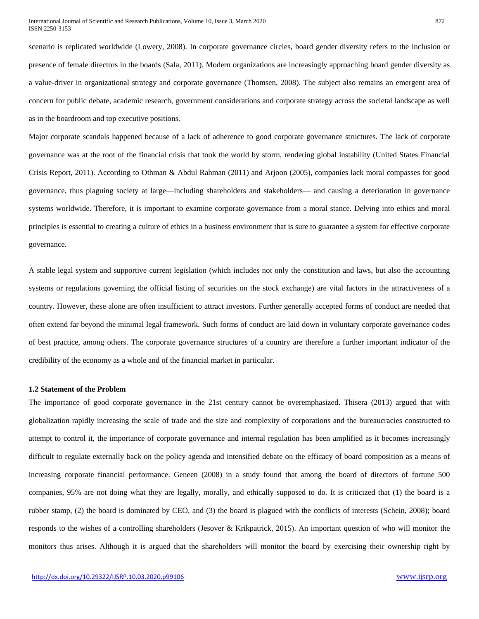scenario is replicated worldwide (Lowery, 2008). In corporate governance circles, board gender diversity refers to the inclusion or presence of female directors in the boards (Sala, 2011). Modern organizations are increasingly approaching board gender diversity as a value-driver in organizational strategy and corporate governance (Thomsen, 2008). The subject also remains an emergent area of concern for public debate, academic research, government considerations and corporate strategy across the societal landscape as well as in the boardroom and top executive positions.

Major corporate scandals happened because of a lack of adherence to good corporate governance structures. The lack of corporate governance was at the root of the financial crisis that took the world by storm, rendering global instability (United States Financial Crisis Report, 2011). According to Othman & Abdul Rahman (2011) and Arjoon (2005), companies lack moral compasses for good governance, thus plaguing society at large—including shareholders and stakeholders— and causing a deterioration in governance systems worldwide. Therefore, it is important to examine corporate governance from a moral stance. Delving into ethics and moral principles is essential to creating a culture of ethics in a business environment that is sure to guarantee a system for effective corporate governance.

A stable legal system and supportive current legislation (which includes not only the constitution and laws, but also the accounting systems or regulations governing the official listing of securities on the stock exchange) are vital factors in the attractiveness of a country. However, these alone are often insufficient to attract investors. Further generally accepted forms of conduct are needed that often extend far beyond the minimal legal framework. Such forms of conduct are laid down in voluntary corporate governance codes of best practice, among others. The corporate governance structures of a country are therefore a further important indicator of the credibility of the economy as a whole and of the financial market in particular.

#### **1.2 Statement of the Problem**

The importance of good corporate governance in the 21st century cannot be overemphasized. Thisera (2013) argued that with globalization rapidly increasing the scale of trade and the size and complexity of corporations and the bureaucracies constructed to attempt to control it, the importance of corporate governance and internal regulation has been amplified as it becomes increasingly difficult to regulate externally back on the policy agenda and intensified debate on the efficacy of board composition as a means of increasing corporate financial performance. Geneen (2008) in a study found that among the board of directors of fortune 500 companies, 95% are not doing what they are legally, morally, and ethically supposed to do. It is criticized that (1) the board is a rubber stamp, (2) the board is dominated by CEO, and (3) the board is plagued with the conflicts of interests (Schein, 2008); board responds to the wishes of a controlling shareholders (Jesover & Krikpatrick, 2015). An important question of who will monitor the monitors thus arises. Although it is argued that the shareholders will monitor the board by exercising their ownership right by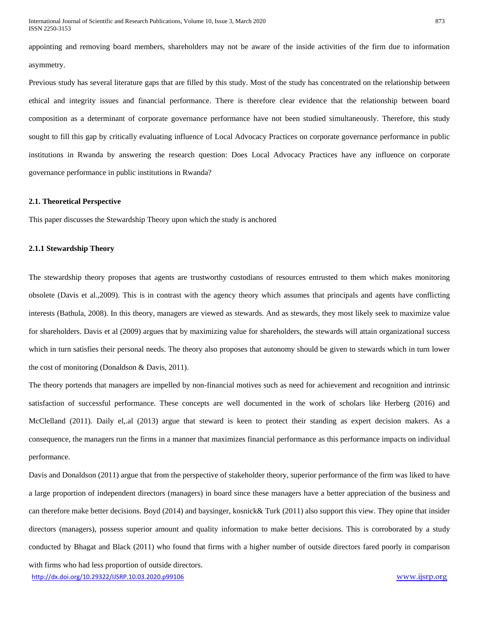appointing and removing board members, shareholders may not be aware of the inside activities of the firm due to information asymmetry.

Previous study has several literature gaps that are filled by this study. Most of the study has concentrated on the relationship between ethical and integrity issues and financial performance. There is therefore clear evidence that the relationship between board composition as a determinant of corporate governance performance have not been studied simultaneously. Therefore, this study sought to fill this gap by critically evaluating influence of Local Advocacy Practices on corporate governance performance in public institutions in Rwanda by answering the research question: Does Local Advocacy Practices have any influence on corporate governance performance in public institutions in Rwanda?

#### **2.1. Theoretical Perspective**

This paper discusses the Stewardship Theory upon which the study is anchored

#### **2.1.1 Stewardship Theory**

The stewardship theory proposes that agents are trustworthy custodians of resources entrusted to them which makes monitoring obsolete (Davis et al.,2009). This is in contrast with the agency theory which assumes that principals and agents have conflicting interests (Bathula, 2008). In this theory, managers are viewed as stewards. And as stewards, they most likely seek to maximize value for shareholders. Davis et al (2009) argues that by maximizing value for shareholders, the stewards will attain organizational success which in turn satisfies their personal needs. The theory also proposes that autonomy should be given to stewards which in turn lower the cost of monitoring (Donaldson & Davis, 2011).

The theory portends that managers are impelled by non-financial motives such as need for achievement and recognition and intrinsic satisfaction of successful performance. These concepts are well documented in the work of scholars like Herberg (2016) and McClelland (2011). Daily el,.al (2013) argue that steward is keen to protect their standing as expert decision makers. As a consequence, the managers run the firms in a manner that maximizes financial performance as this performance impacts on individual performance.

Davis and Donaldson (2011) argue that from the perspective of stakeholder theory, superior performance of the firm was liked to have a large proportion of independent directors (managers) in board since these managers have a better appreciation of the business and can therefore make better decisions. Boyd (2014) and baysinger, kosnick& Turk (2011) also support this view. They opine that insider directors (managers), possess superior amount and quality information to make better decisions. This is corroborated by a study conducted by Bhagat and Black (2011) who found that firms with a higher number of outside directors fared poorly in comparison with firms who had less proportion of outside directors.

<http://dx.doi.org/10.29322/IJSRP.10.03.2020.p99106> [www.ijsrp.org](http://ijsrp.org/)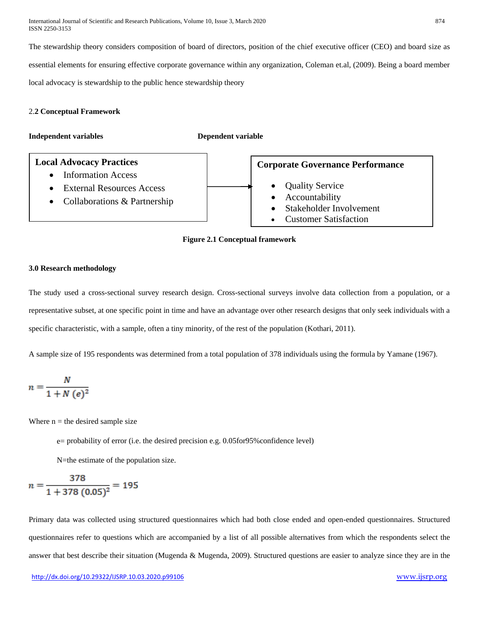International Journal of Scientific and Research Publications, Volume 10, Issue 3, March 2020 874 ISSN 2250-3153

The stewardship theory considers composition of board of directors, position of the chief executive officer (CEO) and board size as essential elements for ensuring effective corporate governance within any organization, Coleman et.al, (2009). Being a board member local advocacy is stewardship to the public hence stewardship theory

#### 2.**2 Conceptual Framework**

**Independent variables Dependent variable**





#### **3.0 Research methodology**

The study used a cross-sectional survey research design. Cross-sectional surveys involve data collection from a population, or a representative subset, at one specific point in time and have an advantage over other research designs that only seek individuals with a specific characteristic, with a sample, often a tiny minority, of the rest of the population (Kothari, 2011).

A sample size of 195 respondents was determined from a total population of 378 individuals using the formula by Yamane (1967).

$$
n = \frac{N}{1 + N (e)^2}
$$

Where  $n =$  the desired sample size

e= probability of error (i.e. the desired precision e.g. 0.05for95%confidence level)

N=the estimate of the population size.

$$
n = \frac{378}{1 + 378 (0.05)^2} = 195
$$

Primary data was collected using structured questionnaires which had both close ended and open-ended questionnaires. Structured questionnaires refer to questions which are accompanied by a list of all possible alternatives from which the respondents select the answer that best describe their situation (Mugenda & Mugenda, 2009). Structured questions are easier to analyze since they are in the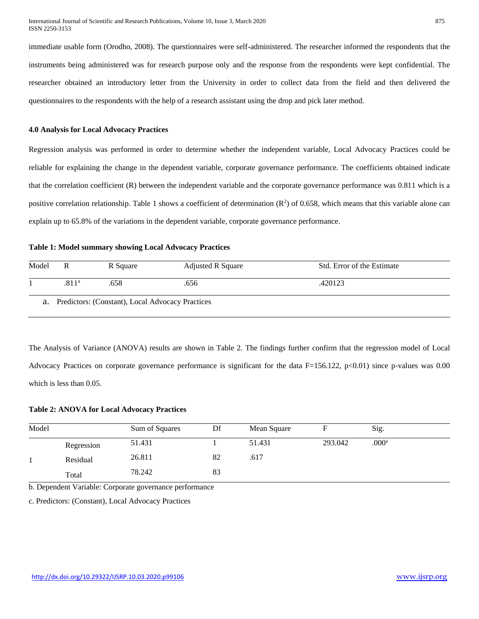immediate usable form (Orodho, 2008). The questionnaires were self-administered. The researcher informed the respondents that the instruments being administered was for research purpose only and the response from the respondents were kept confidential. The researcher obtained an introductory letter from the University in order to collect data from the field and then delivered the questionnaires to the respondents with the help of a research assistant using the drop and pick later method.

#### **4.0 Analysis for Local Advocacy Practices**

Regression analysis was performed in order to determine whether the independent variable, Local Advocacy Practices could be reliable for explaining the change in the dependent variable, corporate governance performance. The coefficients obtained indicate that the correlation coefficient (R) between the independent variable and the corporate governance performance was 0.811 which is a positive correlation relationship. Table 1 shows a coefficient of determination  $(R^2)$  of 0.658, which means that this variable alone can explain up to 65.8% of the variations in the dependent variable, corporate governance performance.

#### **Table 1: Model summary showing Local Advocacy Practices**

| Model                                               | R                 | R Square | <b>Adjusted R Square</b> | Std. Error of the Estimate |  |  |  |
|-----------------------------------------------------|-------------------|----------|--------------------------|----------------------------|--|--|--|
|                                                     | .811 <sup>a</sup> | .658     | .656                     | .420123                    |  |  |  |
| a. Predictors: (Constant), Local Advocacy Practices |                   |          |                          |                            |  |  |  |

The Analysis of Variance (ANOVA) results are shown in Table 2. The findings further confirm that the regression model of Local Advocacy Practices on corporate governance performance is significant for the data  $F=156.122$ ,  $p<0.01$ ) since p-values was 0.00 which is less than 0.05.

#### **Table 2: ANOVA for Local Advocacy Practices**

| Model |            | Sum of Squares | Df | Mean Square |         | Sig.              |  |
|-------|------------|----------------|----|-------------|---------|-------------------|--|
|       | Regression | 51.431         |    | 51.431      | 293.042 | .000 <sup>a</sup> |  |
|       | Residual   | 26.811         | 82 | .617        |         |                   |  |
|       | Total      | 78.242         | 83 |             |         |                   |  |

b. Dependent Variable: Corporate governance performance

c. Predictors: (Constant), Local Advocacy Practices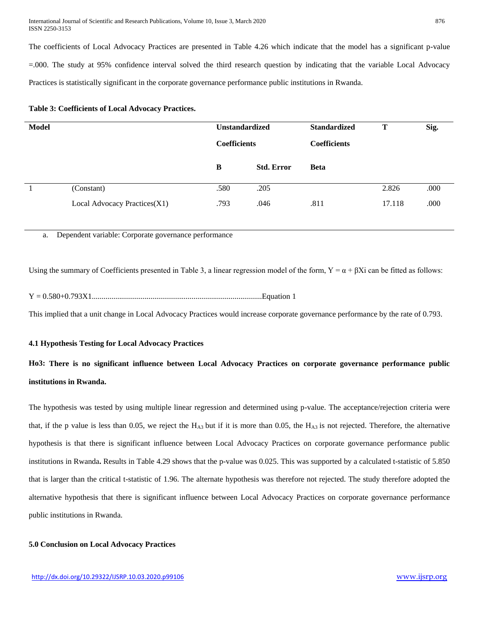The coefficients of Local Advocacy Practices are presented in Table 4.26 which indicate that the model has a significant p-value =.000. The study at 95% confidence interval solved the third research question by indicating that the variable Local Advocacy Practices is statistically significant in the corporate governance performance public institutions in Rwanda.

| Table 3: Coefficients of Local Advocacy Practices. |  |  |  |  |  |  |  |
|----------------------------------------------------|--|--|--|--|--|--|--|
|----------------------------------------------------|--|--|--|--|--|--|--|

| <b>Model</b> |                              | <b>Unstandardized</b> |                   | <b>Standardized</b> | Т      | Sig. |
|--------------|------------------------------|-----------------------|-------------------|---------------------|--------|------|
|              |                              | <b>Coefficients</b>   |                   | <b>Coefficients</b> |        |      |
|              |                              | B                     | <b>Std. Error</b> | <b>Beta</b>         |        |      |
|              | (Constant)                   | .580                  | .205              |                     | 2.826  | .000 |
|              | Local Advocacy Practices(X1) | .793                  | .046              | .811                | 17.118 | .000 |

a. Dependent variable: Corporate governance performance

Using the summary of Coefficients presented in Table 3, a linear regression model of the form,  $Y = \alpha + \beta Xi$  can be fitted as follows:

Y = 0.580+0.793X1.......................................................................................Equation 1

This implied that a unit change in Local Advocacy Practices would increase corporate governance performance by the rate of 0.793.

#### **4.1 Hypothesis Testing for Local Advocacy Practices**

# **Ho3: There is no significant influence between Local Advocacy Practices on corporate governance performance public institutions in Rwanda.**

The hypothesis was tested by using multiple linear regression and determined using p-value. The acceptance/rejection criteria were that, if the p value is less than 0.05, we reject the  $H_{A3}$  but if it is more than 0.05, the  $H_{A3}$  is not rejected. Therefore, the alternative hypothesis is that there is significant influence between Local Advocacy Practices on corporate governance performance public institutions in Rwanda**.** Results in Table 4.29 shows that the p-value was 0.025. This was supported by a calculated t-statistic of 5.850 that is larger than the critical t-statistic of 1.96. The alternate hypothesis was therefore not rejected. The study therefore adopted the alternative hypothesis that there is significant influence between Local Advocacy Practices on corporate governance performance public institutions in Rwanda.

#### **5.0 Conclusion on Local Advocacy Practices**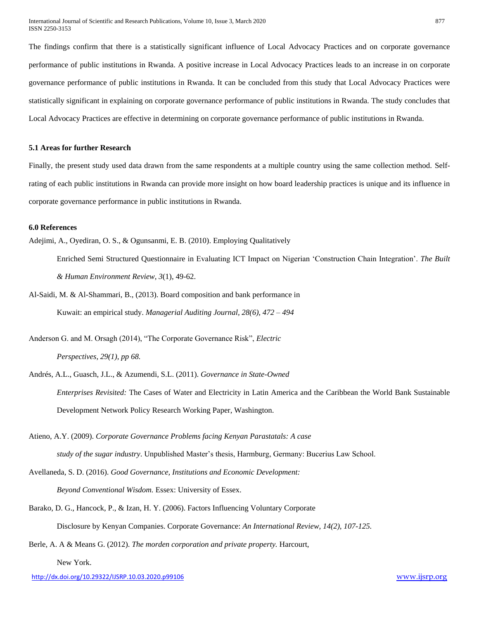The findings confirm that there is a statistically significant influence of Local Advocacy Practices and on corporate governance performance of public institutions in Rwanda. A positive increase in Local Advocacy Practices leads to an increase in on corporate governance performance of public institutions in Rwanda. It can be concluded from this study that Local Advocacy Practices were statistically significant in explaining on corporate governance performance of public institutions in Rwanda. The study concludes that Local Advocacy Practices are effective in determining on corporate governance performance of public institutions in Rwanda.

#### **5.1 Areas for further Research**

Finally, the present study used data drawn from the same respondents at a multiple country using the same collection method. Selfrating of each public institutions in Rwanda can provide more insight on how board leadership practices is unique and its influence in corporate governance performance in public institutions in Rwanda.

#### **6.0 References**

Adejimi, A., Oyediran, O. S., & Ogunsanmi, E. B. (2010). Employing Qualitatively

Enriched Semi Structured Questionnaire in Evaluating ICT Impact on Nigerian 'Construction Chain Integration'. *The Built & Human Environment Review*, *3*(1), 49-62.

Al-Saidi, M. & Al-Shammari, B., (2013). Board composition and bank performance in Kuwait: an empirical study. *Managerial Auditing Journal, 28(6), 472 – 494*

Anderson G. and M. Orsagh (2014), "The Corporate Governance Risk", *Electric* 

*Perspectives, 29(1), pp 68.* 

Andrés, A.L., Guasch, J.L., & Azumendi, S.L. (2011). *Governance in State-Owned Enterprises Revisited:* The Cases of Water and Electricity in Latin America and the Caribbean the World Bank Sustainable Development Network Policy Research Working Paper, Washington.

Atieno, A.Y. (2009). *Corporate Governance Problems facing Kenyan Parastatals: A case study of the sugar industry*. Unpublished Master's thesis, Harmburg, Germany: Bucerius Law School.

Avellaneda, S. D. (2016). *Good Governance, Institutions and Economic Development: Beyond Conventional Wisdom.* Essex: University of Essex.

Barako, D. G., Hancock, P., & Izan, H. Y. (2006). Factors Influencing Voluntary Corporate Disclosure by Kenyan Companies. Corporate Governance: *An International Review, 14(2), 107-125.* 

Berle, A. A & Means G. (2012). *The morden corporation and private property.* Harcourt,

New York.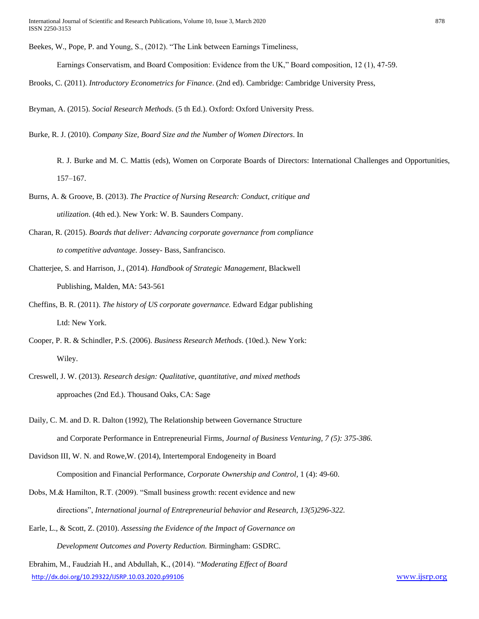Beekes, W., Pope, P. and Young, S., (2012). "The Link between Earnings Timeliness,

Earnings Conservatism, and Board Composition: Evidence from the UK," Board composition, 12 (1), 47-59.

Brooks, C. (2011). *Introductory Econometrics for Finance*. (2nd ed). Cambridge: Cambridge University Press,

Bryman, A. (2015). *Social Research Methods*. (5 th Ed.). Oxford: Oxford University Press.

Burke, R. J. (2010). *Company Size, Board Size and the Number of Women Directors*. In

R. J. Burke and M. C. Mattis (eds), Women on Corporate Boards of Directors: International Challenges and Opportunities, 157–167.

- Burns, A. & Groove, B. (2013). *The Practice of Nursing Research: Conduct, critique and utilization*. (4th ed.). New York: W. B. Saunders Company.
- Charan, R. (2015). *Boards that deliver: Advancing corporate governance from compliance to competitive advantage.* Jossey- Bass, Sanfrancisco.
- Chatterjee, S. and Harrison, J., (2014). *Handbook of Strategic Management*, Blackwell Publishing, Malden, MA: 543-561
- Cheffins, B. R. (2011). *The history of US corporate governance.* Edward Edgar publishing Ltd: New York.
- Cooper, P. R. & Schindler, P.S. (2006). *Business Research Methods*. (10ed.). New York: Wiley.
- Creswell, J. W. (2013). *Research design: Qualitative, quantitative, and mixed methods* approaches (2nd Ed.). Thousand Oaks, CA: Sage
- Daily, C. M. and D. R. Dalton (1992), The Relationship between Governance Structure and Corporate Performance in Entrepreneurial Firms, *Journal of Business Venturing, 7 (5): 375-386.*
- Davidson III, W. N. and Rowe,W. (2014), Intertemporal Endogeneity in Board

Composition and Financial Performance, *Corporate Ownership and Control*, 1 (4): 49-60.

- Dobs, M.& Hamilton, R.T. (2009). "Small business growth: recent evidence and new directions", *International journal of Entrepreneurial behavior and Research, 13(5)296-322.*
- Earle, L., & Scott, Z. (2010). *Assessing the Evidence of the Impact of Governance on Development Outcomes and Poverty Reduction.* Birmingham: GSDRC.

<http://dx.doi.org/10.29322/IJSRP.10.03.2020.p99106> [www.ijsrp.org](http://ijsrp.org/) Ebrahim, M., Faudziah H., and Abdullah, K., (2014). "*Moderating Effect of Board*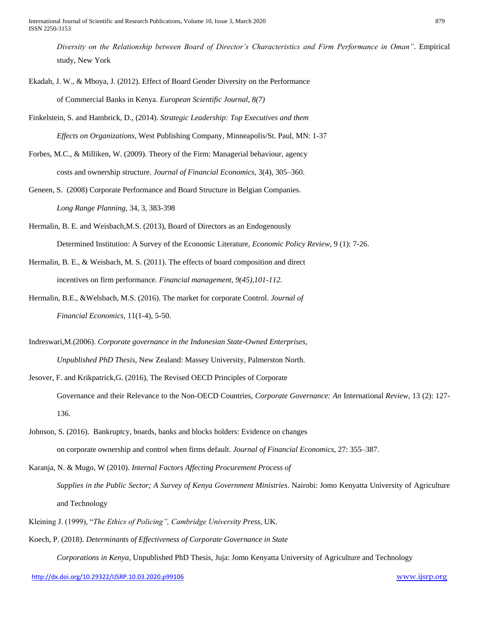*Diversity on the Relationship between Board of Director's Characteristics and Firm Performance in Oman"*. Empirical study, New York

- Ekadah, J. W., & Mboya, J. (2012). Effect of Board Gender Diversity on the Performance of Commercial Banks in Kenya. *European Scientific Journal, 8(7)*
- Finkelstein, S. and Hambrick, D., (2014). *Strategic Leadership: Top Executives and them*

*Effects on Organizations,* West Publishing Company, Minneapolis/St. Paul, MN: 1-37

Forbes, M.C., & Milliken, W. (2009). Theory of the Firm: Managerial behaviour, agency costs and ownership structure. *Journal of Financial Economics*, 3(4), 305–360.

Geneen, S. (2008) Corporate Performance and Board Structure in Belgian Companies. *Long Range Planning*, 34, 3, 383-398

- Hermalin, B. E. and Weisbach,M.S. (2013), Board of Directors as an Endogenously Determined Institution: A Survey of the Economic Literature, *Economic Policy Review,* 9 (1): 7-26.
- Hermalin, B. E., & Weisbach, M. S. (2011). The effects of board composition and direct incentives on firm performance. *Financial management, 9(45),101-112.*
- Hermalin, B.E., &Welsbach, M.S. (2016). The market for corporate Control. *Journal of Financial Economics,* 11(1-4), 5-50.

Indreswari,M.(2006). *Corporate governance in the Indonesian State-Owned Enterprises, Unpublished PhD Thesis*, New Zealand: Massey University, Palmerston North.

- Jesover, F. and Krikpatrick,G. (2016), The Revised OECD Principles of Corporate Governance and their Relevance to the Non-OECD Countries, *Corporate Governance: An* International *Review*, 13 (2): 127- 136.
- Johnson, S. (2016). Bankruptcy, boards, banks and blocks holders: Evidence on changes on corporate ownership and control when firms default. *Journal of Financial Economics,* 27: 355–387.
- Karanja, N. & Mugo, W (2010). *Internal Factors Affecting Procurement Process of Supplies in the Public Sector; A Survey of Kenya Government Ministries*. Nairobi: Jomo Kenyatta University of Agriculture and Technology
- Kleining J. (1999), "*The Ethics of Policing", Cambridge University Press*, UK.
- Koech, P. (2018). *Determinants of Effectiveness of Corporate Governance in State*

*Corporations in Kenya*, Unpublished PhD Thesis, Juja: Jomo Kenyatta University of Agriculture and Technology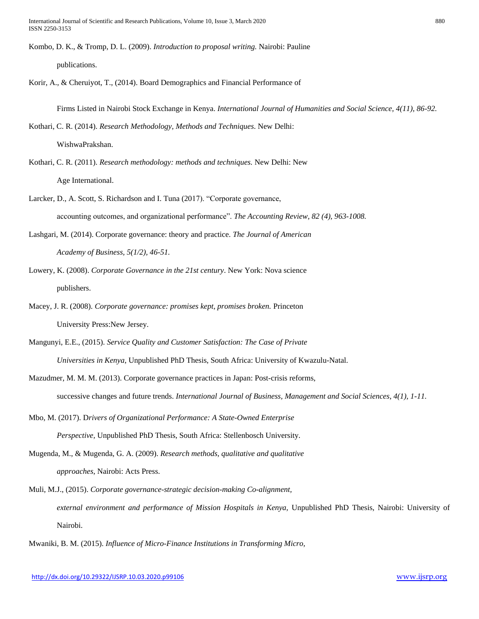International Journal of Scientific and Research Publications, Volume 10, Issue 3, March 2020 880 ISSN 2250-3153

Kombo, D. K., & Tromp, D. L. (2009). *Introduction to proposal writing.* Nairobi: Pauline publications.

Korir, A., & Cheruiyot, T., (2014). Board Demographics and Financial Performance of

Firms Listed in Nairobi Stock Exchange in Kenya. *International Journal of Humanities and Social Science, 4(11), 86-92.* 

Kothari, C. R. (2014). *Research Methodology, Methods and Techniques*. New Delhi:

WishwaPrakshan.

Kothari, C. R. (2011). *Research methodology: methods and techniques.* New Delhi: New Age International.

Larcker, D., A. Scott, S. Richardson and I. Tuna (2017). "Corporate governance, accounting outcomes, and organizational performance". *The Accounting Review, 82 (4), 963-1008.*

Lashgari, M. (2014). Corporate governance: theory and practice. *The Journal of American Academy of Business, 5(1/2), 46-51.*

- Lowery, K. (2008). *Corporate Governance in the 21st century*. New York: Nova science publishers.
- Macey, J. R. (2008). *Corporate governance: promises kept, promises broken.* Princeton University Press:New Jersey.

Mangunyi, E.E., (2015). *Service Quality and Customer Satisfaction: The Case of Private Universities in Kenya*, Unpublished PhD Thesis, South Africa: University of Kwazulu-Natal.

- Mazudmer, M. M. M. (2013). Corporate governance practices in Japan: Post-crisis reforms, successive changes and future trends. *International Journal of Business, Management and Social Sciences, 4(1), 1-11.*
- Mbo, M. (2017). D*rivers of Organizational Performance: A State-Owned Enterprise Perspective,* Unpublished PhD Thesis, South Africa: Stellenbosch University.
- Mugenda, M., & Mugenda, G. A. (2009). *Research methods, qualitative and qualitative approaches*, Nairobi: Acts Press.
- Muli, M.J., (2015). *Corporate governance-strategic decision-making Co-alignment, external environment and performance of Mission Hospitals in Kenya,* Unpublished PhD Thesis, Nairobi: University of Nairobi.

Mwaniki, B. M. (2015). *Influence of Micro-Finance Institutions in Transforming Micro,*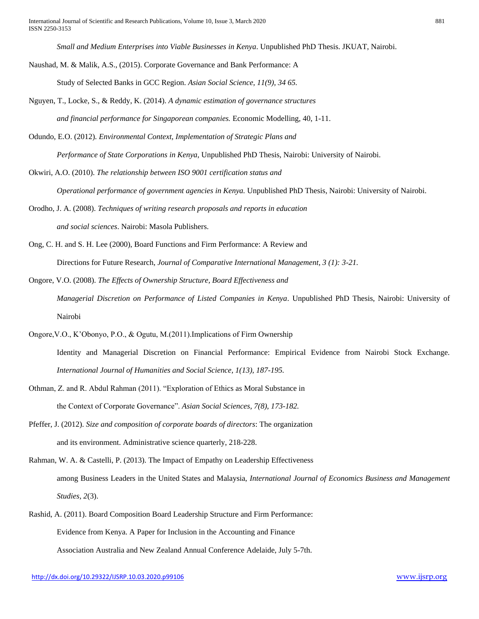*Small and Medium Enterprises into Viable Businesses in Kenya*. Unpublished PhD Thesis. JKUAT, Nairobi.

Naushad, M. & Malik, A.S., (2015). Corporate Governance and Bank Performance: A

Study of Selected Banks in GCC Region. *Asian Social Science, 11(9), 34 65.* 

- Nguyen, T., Locke, S., & Reddy, K. (2014). *A dynamic estimation of governance structures and financial performance for Singaporean companies.* Economic Modelling, 40, 1-11.
- Odundo, E.O. (2012). *Environmental Context, Implementation of Strategic Plans and Performance of State Corporations in Kenya*, Unpublished PhD Thesis, Nairobi: University of Nairobi.
- Okwiri, A.O. (2010). *The relationship between ISO 9001 certification status and Operational performance of government agencies in Kenya.* Unpublished PhD Thesis, Nairobi: University of Nairobi.
- Orodho, J. A. (2008). *Techniques of writing research proposals and reports in education and social sciences*. Nairobi: Masola Publishers.
- Ong, C. H. and S. H. Lee (2000), Board Functions and Firm Performance: A Review and Directions for Future Research, *Journal of Comparative International Management, 3 (1): 3-21.*
- Ongore, V.O. (2008). *The Effects of Ownership Structure, Board Effectiveness and Managerial Discretion on Performance of Listed Companies in Kenya*. Unpublished PhD Thesis, Nairobi: University of Nairobi
- Ongore,V.O., K'Obonyo, P.O., & Ogutu, M.(2011).Implications of Firm Ownership Identity and Managerial Discretion on Financial Performance: Empirical Evidence from Nairobi Stock Exchange. *International Journal of Humanities and Social Science, 1(13), 187-195.*
- Othman, Z. and R. Abdul Rahman (2011). "Exploration of Ethics as Moral Substance in the Context of Corporate Governance". *Asian Social Sciences, 7(8), 173-182.*
- Pfeffer, J. (2012). *Size and composition of corporate boards of directors*: The organization and its environment. Administrative science quarterly, 218-228.
- Rahman, W. A. & Castelli, P. (2013). The Impact of Empathy on Leadership Effectiveness among Business Leaders in the United States and Malaysia, *International Journal of Economics Business and Management Studies, 2*(3).
- Rashid, A. (2011). Board Composition Board Leadership Structure and Firm Performance: Evidence from Kenya. A Paper for Inclusion in the Accounting and Finance Association Australia and New Zealand Annual Conference Adelaide, July 5-7th.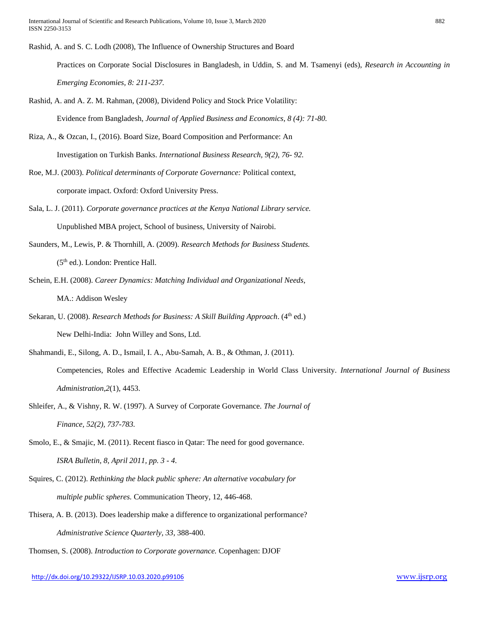International Journal of Scientific and Research Publications, Volume 10, Issue 3, March 2020 882 ISSN 2250-3153

Rashid, A. and S. C. Lodh (2008), The Influence of Ownership Structures and Board

Practices on Corporate Social Disclosures in Bangladesh, in Uddin, S. and M. Tsamenyi (eds), *Research in Accounting in Emerging Economies, 8: 211-237.*

- Rashid, A. and A. Z. M. Rahman, (2008), Dividend Policy and Stock Price Volatility: Evidence from Bangladesh, *Journal of Applied Business and Economics, 8 (4): 71-80.*
- Riza, A., & Ozcan, I., (2016). Board Size, Board Composition and Performance: An Investigation on Turkish Banks. *International Business Research, 9(2), 76- 92.*
- Roe, M.J. (2003). *Political determinants of Corporate Governance:* Political context, corporate impact. Oxford: Oxford University Press.
- Sala, L. J. (2011). *Corporate governance practices at the Kenya National Library* s*ervice.* Unpublished MBA project, School of business, University of Nairobi.
- Saunders, M., Lewis, P. & Thornhill, A. (2009). *Research Methods for Business Students.*   $(5<sup>th</sup>$  ed.). London: Prentice Hall.
- Schein, E.H. (2008). *Career Dynamics: Matching Individual and Organizational Needs*, MA.: Addison Wesley
- Sekaran, U. (2008). *Research Methods for Business: A Skill Building Approach.* (4<sup>th</sup> ed.) New Delhi-India: John Willey and Sons, Ltd.
- Shahmandi, E., Silong, A. D., Ismail, I. A., Abu-Samah, A. B., & Othman, J. (2011). Competencies, Roles and Effective Academic Leadership in World Class University. *International Journal of Business Administration,2*(1), 4453.
- Shleifer, A., & Vishny, R. W. (1997). A Survey of Corporate Governance. *The Journal of Finance, 52(2), 737-783.*
- Smolo, E., & Smajic, M. (2011). Recent fiasco in Qatar: The need for good governance. *ISRA Bulletin, 8, April 2011, pp. 3 - 4.*
- Squires, C. (2012). *Rethinking the black public sphere: An alternative vocabulary for multiple public spheres.* Communication Theory, 12, 446-468.
- Thisera, A. B. (2013). Does leadership make a difference to organizational performance? *Administrative Science Quarterly, 33*, 388-400.

Thomsen, S. (2008). *Introduction to Corporate governance.* Copenhagen: DJOF